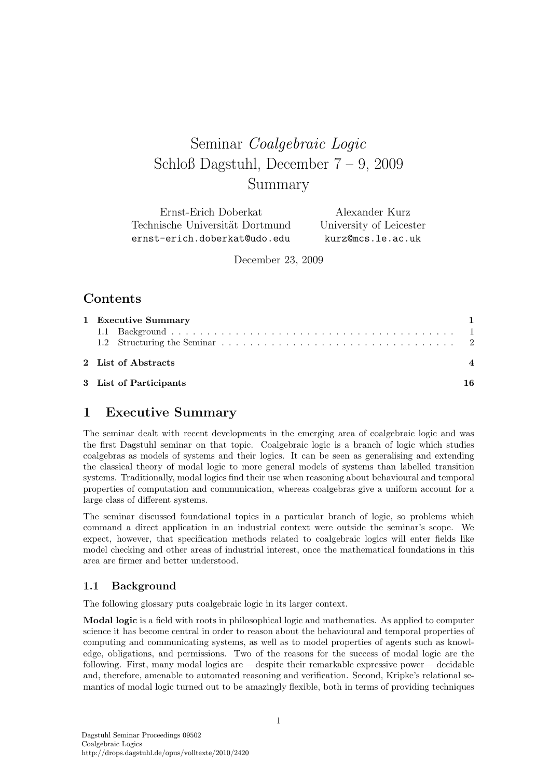# Seminar *Coalgebraic Logic*  $S$ ummar 7 Summary

Ernst-Erich Doberkat Technische Universität Dortmund ernst-erich.doberkat@udo.edu

Alexander Kurz University of Leicester kurz@mcs.le.ac.uk

December 23, 2009

# **Contents**

| 1 Executive Summary    |    |  |
|------------------------|----|--|
|                        |    |  |
|                        |    |  |
| 2 List of Abstracts    |    |  |
| 3 List of Participants | 16 |  |

# **1 Executive Summary**

The seminar dealt with recent developments in the emerging area of coalgebraic logic and was the first Dagstuhl seminar on that topic. Coalgebraic logic is a branch of logic which studies coalgebras as models of systems and their logics. It can be seen as generalising and extending the classical theory of modal logic to more general models of systems than labelled transition systems. Traditionally, modal logics find their use when reasoning about behavioural and temporal properties of computation and communication, whereas coalgebras give a uniform account for a large class of different systems.

The seminar discussed foundational topics in a particular branch of logic, so problems which command a direct application in an industrial context were outside the seminar's scope. We expect, however, that specification methods related to coalgebraic logics will enter fields like model checking and other areas of industrial interest, once the mathematical foundations in this area are firmer and better understood.

### **1.1 Background**

The following glossary puts coalgebraic logic in its larger context.

**Modal logic** is a field with roots in philosophical logic and mathematics. As applied to computer science it has become central in order to reason about the behavioural and temporal properties of computing and communicating systems, as well as to model properties of agents such as knowledge, obligations, and permissions. Two of the reasons for the success of modal logic are the following. First, many modal logics are —despite their remarkable expressive power— decidable and, therefore, amenable to automated reasoning and verification. Second, Kripke's relational semantics of modal logic turned out to be amazingly flexible, both in terms of providing techniques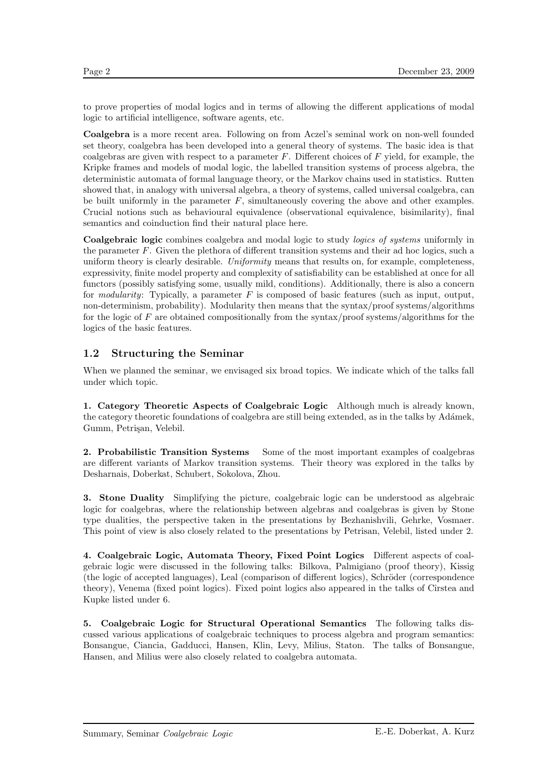to prove properties of modal logics and in terms of allowing the different applications of modal logic to artificial intelligence, software agents, etc.

**Coalgebra** is a more recent area. Following on from Aczel's seminal work on non-well founded set theory, coalgebra has been developed into a general theory of systems. The basic idea is that coalgebras are given with respect to a parameter  $F$ . Different choices of  $F$  yield, for example, the Kripke frames and models of modal logic, the labelled transition systems of process algebra, the deterministic automata of formal language theory, or the Markov chains used in statistics. Rutten showed that, in analogy with universal algebra, a theory of systems, called universal coalgebra, can be built uniformly in the parameter  $F$ , simultaneously covering the above and other examples. Crucial notions such as behavioural equivalence (observational equivalence, bisimilarity), final semantics and coinduction find their natural place here.

**Coalgebraic logic** combines coalgebra and modal logic to study logics of systems uniformly in the parameter F. Given the plethora of different transition systems and their ad hoc logics, such a uniform theory is clearly desirable. Uniformity means that results on, for example, completeness, expressivity, finite model property and complexity of satisfiability can be established at once for all functors (possibly satisfying some, usually mild, conditions). Additionally, there is also a concern for modularity: Typically, a parameter  $F$  is composed of basic features (such as input, output, non-determinism, probability). Modularity then means that the syntax/proof systems/algorithms for the logic of  $F$  are obtained compositionally from the syntax/proof systems/algorithms for the logics of the basic features.

### **1.2 Structuring the Seminar**

When we planned the seminar, we envisaged six broad topics. We indicate which of the talks fall under which topic.

**1. Category Theoretic Aspects of Coalgebraic Logic** Although much is already known, the category theoretic foundations of coalgebra are still being extended, as in the talks by Adámek, Gumm, Petrişan, Velebil.

**2. Probabilistic Transition Systems** Some of the most important examples of coalgebras are different variants of Markov transition systems. Their theory was explored in the talks by Desharnais, Doberkat, Schubert, Sokolova, Zhou.

**3. Stone Duality** Simplifying the picture, coalgebraic logic can be understood as algebraic logic for coalgebras, where the relationship between algebras and coalgebras is given by Stone type dualities, the perspective taken in the presentations by Bezhanishvili, Gehrke, Vosmaer. This point of view is also closely related to the presentations by Petrisan, Velebil, listed under 2.

**4. Coalgebraic Logic, Automata Theory, Fixed Point Logics** Different aspects of coalgebraic logic were discussed in the following talks: Bilkova, Palmigiano (proof theory), Kissig (the logic of accepted languages), Leal (comparison of different logics), Schröder (correspondence theory), Venema (fixed point logics). Fixed point logics also appeared in the talks of Cîrstea and Kupke listed under 6.

**5. Coalgebraic Logic for Structural Operational Semantics** The following talks discussed various applications of coalgebraic techniques to process algebra and program semantics: Bonsangue, Ciancia, Gadducci, Hansen, Klin, Levy, Milius, Staton. The talks of Bonsangue, Hansen, and Milius were also closely related to coalgebra automata.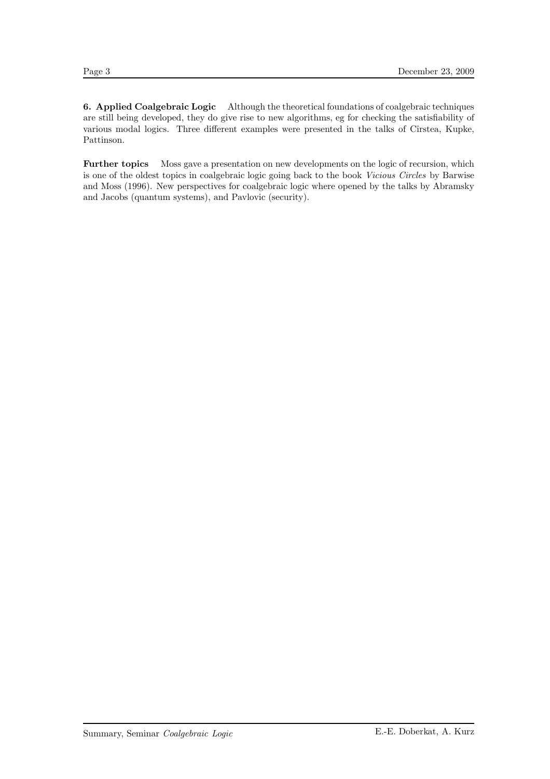**6. Applied Coalgebraic Logic** Although the theoretical foundations of coalgebraic techniques are still being developed, they do give rise to new algorithms, eg for checking the satisfiability of various modal logics. Three different examples were presented in the talks of Cîrstea, Kupke, Pattinson.

**Further topics** Moss gave a presentation on new developments on the logic of recursion, which is one of the oldest topics in coalgebraic logic going back to the book Vicious Circles by Barwise and Moss (1996). New perspectives for coalgebraic logic where opened by the talks by Abramsky and Jacobs (quantum systems), and Pavlovic (security).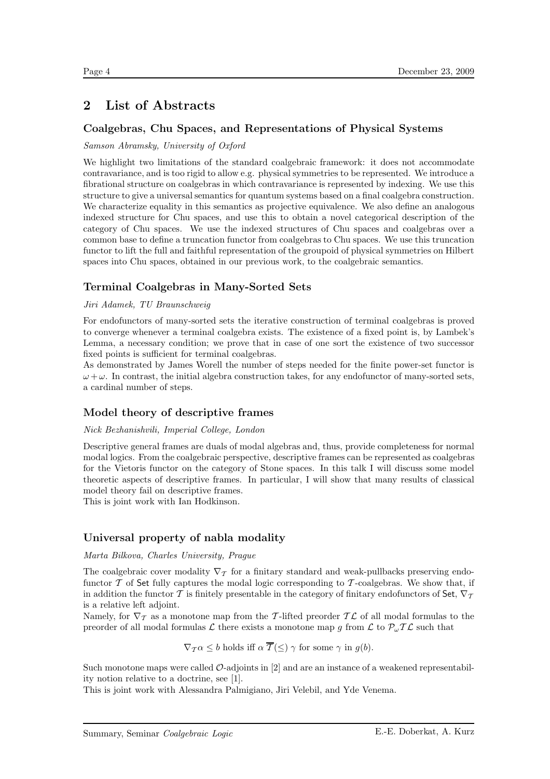# **2 List of Abstracts**

### **Coalgebras, Chu Spaces, and Representations of Physical Systems**

#### Samson Abramsky, University of Oxford

We highlight two limitations of the standard coalgebraic framework: it does not accommodate contravariance, and is too rigid to allow e.g. physical symmetries to be represented. We introduce a fibrational structure on coalgebras in which contravariance is represented by indexing. We use this structure to give a universal semantics for quantum systems based on a final coalgebra construction. We characterize equality in this semantics as projective equivalence. We also define an analogous indexed structure for Chu spaces, and use this to obtain a novel categorical description of the category of Chu spaces. We use the indexed structures of Chu spaces and coalgebras over a common base to define a truncation functor from coalgebras to Chu spaces. We use this truncation functor to lift the full and faithful representation of the groupoid of physical symmetries on Hilbert spaces into Chu spaces, obtained in our previous work, to the coalgebraic semantics.

# **Terminal Coalgebras in Many-Sorted Sets**

#### Jiri Adamek, TU Braunschweig

For endofunctors of many-sorted sets the iterative construction of terminal coalgebras is proved to converge whenever a terminal coalgebra exists. The existence of a fixed point is, by Lambek's Lemma, a necessary condition; we prove that in case of one sort the existence of two successor fixed points is sufficient for terminal coalgebras.

As demonstrated by James Worell the number of steps needed for the finite power-set functor is  $\omega + \omega$ . In contrast, the initial algebra construction takes, for any endofunctor of many-sorted sets, a cardinal number of steps.

### **Model theory of descriptive frames**

#### Nick Bezhanishvili, Imperial College, London

Descriptive general frames are duals of modal algebras and, thus, provide completeness for normal modal logics. From the coalgebraic perspective, descriptive frames can be represented as coalgebras for the Vietoris functor on the category of Stone spaces. In this talk I will discuss some model theoretic aspects of descriptive frames. In particular, I will show that many results of classical model theory fail on descriptive frames.

This is joint work with Ian Hodkinson.

### **Universal property of nabla modality**

#### Marta Bilkova, Charles University, Prague

The coalgebraic cover modality  $\nabla_{\mathcal{T}}$  for a finitary standard and weak-pullbacks preserving endofunctor  $\mathcal T$  of Set fully captures the modal logic corresponding to  $\mathcal T$ -coalgebras. We show that, if in addition the functor T is finitely presentable in the category of finitary endofunctors of Set,  $\nabla_{\mathcal{T}}$ is a relative left adjoint.

Namely, for  $\nabla_{\mathcal{T}}$  as a monotone map from the T-lifted preorder TL of all modal formulas to the preorder of all modal formulas L there exists a monotone map g from L to  $\mathcal{P}_{\omega} \mathcal{TL}$  such that

$$
\nabla_{\mathcal{T}} \alpha \leq b
$$
 holds iff  $\alpha \overline{\mathcal{T}}(\leq) \gamma$  for some  $\gamma$  in  $g(b)$ .

Such monotone maps were called  $\mathcal{O}\text{-}adjoints$  in [2] and are an instance of a weakened representability notion relative to a doctrine, see [1].

This is joint work with Alessandra Palmigiano, Jiri Velebil, and Yde Venema.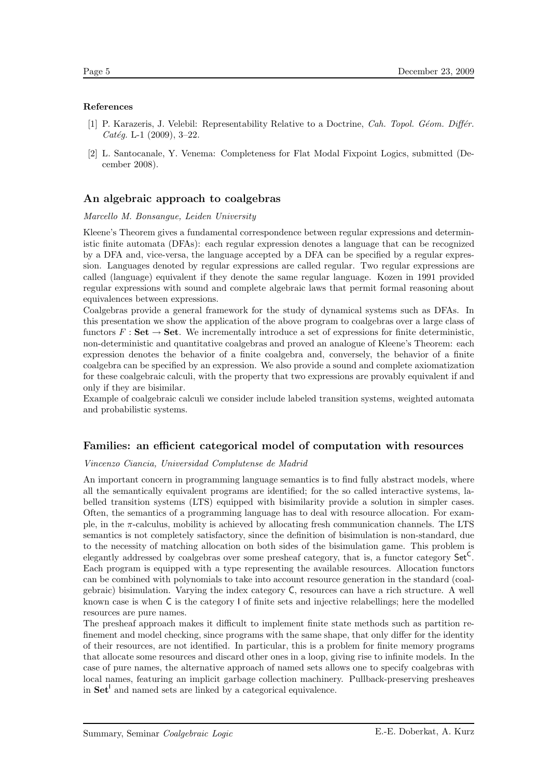#### **References**

- [1] P. Karazeris, J. Velebil: Representability Relative to a Doctrine, Cah. Topol. Géom. Différ.  $Catég. L-1 (2009), 3-22.$
- [2] L. Santocanale, Y. Venema: Completeness for Flat Modal Fixpoint Logics, submitted (December 2008).

#### **An algebraic approach to coalgebras**

Marcello M. Bonsangue, Leiden University

Kleene's Theorem gives a fundamental correspondence between regular expressions and deterministic finite automata (DFAs): each regular expression denotes a language that can be recognized by a DFA and, vice-versa, the language accepted by a DFA can be specified by a regular expression. Languages denoted by regular expressions are called regular. Two regular expressions are called (language) equivalent if they denote the same regular language. Kozen in 1991 provided regular expressions with sound and complete algebraic laws that permit formal reasoning about equivalences between expressions.

Coalgebras provide a general framework for the study of dynamical systems such as DFAs. In this presentation we show the application of the above program to coalgebras over a large class of functors  $F : \mathbf{Set} \to \mathbf{Set}$ . We incrementally introduce a set of expressions for finite deterministic. non-deterministic and quantitative coalgebras and proved an analogue of Kleene's Theorem: each expression denotes the behavior of a finite coalgebra and, conversely, the behavior of a finite coalgebra can be specified by an expression. We also provide a sound and complete axiomatization for these coalgebraic calculi, with the property that two expressions are provably equivalent if and only if they are bisimilar.

Example of coalgebraic calculi we consider include labeled transition systems, weighted automata and probabilistic systems.

#### **Families: an efficient categorical model of computation with resources**

#### Vincenzo Ciancia, Universidad Complutense de Madrid

An important concern in programming language semantics is to find fully abstract models, where all the semantically equivalent programs are identified; for the so called interactive systems, labelled transition systems (LTS) equipped with bisimilarity provide a solution in simpler cases. Often, the semantics of a programming language has to deal with resource allocation. For example, in the π-calculus, mobility is achieved by allocating fresh communication channels. The LTS semantics is not completely satisfactory, since the definition of bisimulation is non-standard, due to the necessity of matching allocation on both sides of the bisimulation game. This problem is elegantly addressed by coalgebras over some presheaf category, that is, a functor category Set<sup>C</sup>. Each program is equipped with a type representing the available resources. Allocation functors can be combined with polynomials to take into account resource generation in the standard (coalgebraic) bisimulation. Varying the index category C, resources can have a rich structure. A well known case is when C is the category I of finite sets and injective relabellings; here the modelled resources are pure names.

The presheaf approach makes it difficult to implement finite state methods such as partition refinement and model checking, since programs with the same shape, that only differ for the identity of their resources, are not identified. In particular, this is a problem for finite memory programs that allocate some resources and discard other ones in a loop, giving rise to infinite models. In the case of pure names, the alternative approach of named sets allows one to specify coalgebras with local names, featuring an implicit garbage collection machinery. Pullback-preserving presheaves in **Set<sup>1</sup>** and named sets are linked by a categorical equivalence.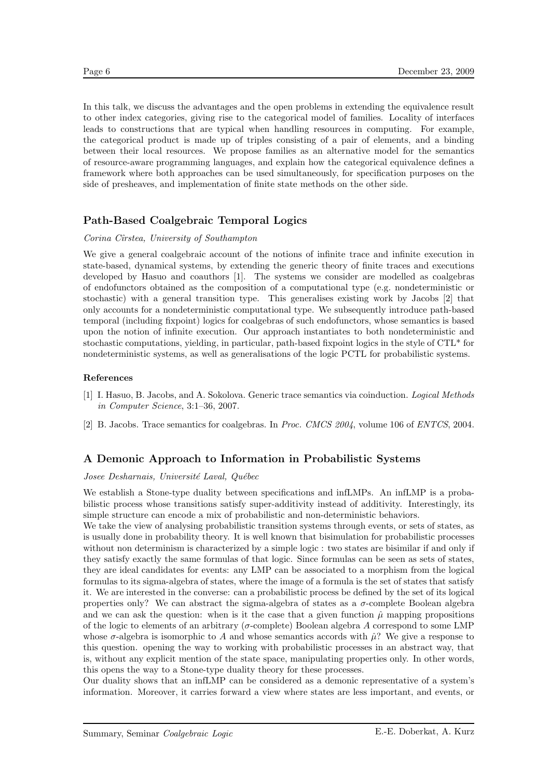In this talk, we discuss the advantages and the open problems in extending the equivalence result to other index categories, giving rise to the categorical model of families. Locality of interfaces leads to constructions that are typical when handling resources in computing. For example, the categorical product is made up of triples consisting of a pair of elements, and a binding between their local resources. We propose families as an alternative model for the semantics of resource-aware programming languages, and explain how the categorical equivalence defines a framework where both approaches can be used simultaneously, for specification purposes on the side of presheaves, and implementation of finite state methods on the other side.

### **Path-Based Coalgebraic Temporal Logics**

#### Corina Cîrstea, University of Southampton

We give a general coalgebraic account of the notions of infinite trace and infinite execution in state-based, dynamical systems, by extending the generic theory of finite traces and executions developed by Hasuo and coauthors [1]. The systems we consider are modelled as coalgebras of endofunctors obtained as the composition of a computational type (e.g. nondeterministic or stochastic) with a general transition type. This generalises existing work by Jacobs [2] that only accounts for a nondeterministic computational type. We subsequently introduce path-based temporal (including fixpoint) logics for coalgebras of such endofunctors, whose semantics is based upon the notion of infinite execution. Our approach instantiates to both nondeterministic and stochastic computations, yielding, in particular, path-based fixpoint logics in the style of CTL\* for nondeterministic systems, as well as generalisations of the logic PCTL for probabilistic systems.

#### **References**

- [1] I. Hasuo, B. Jacobs, and A. Sokolova. Generic trace semantics via coinduction. Logical Methods in Computer Science, 3:1–36, 2007.
- [2] B. Jacobs. Trace semantics for coalgebras. In Proc. CMCS 2004, volume 106 of ENTCS, 2004.

### **A Demonic Approach to Information in Probabilistic Systems**

#### Josee Desharnais, Université Laval, Québec

We establish a Stone-type duality between specifications and infLMPs. An infLMP is a probabilistic process whose transitions satisfy super-additivity instead of additivity. Interestingly, its simple structure can encode a mix of probabilistic and non-deterministic behaviors.

We take the view of analysing probabilistic transition systems through events, or sets of states, as is usually done in probability theory. It is well known that bisimulation for probabilistic processes without non determinism is characterized by a simple logic : two states are bisimilar if and only if they satisfy exactly the same formulas of that logic. Since formulas can be seen as sets of states, they are ideal candidates for events: any LMP can be associated to a morphism from the logical formulas to its sigma-algebra of states, where the image of a formula is the set of states that satisfy it. We are interested in the converse: can a probabilistic process be defined by the set of its logical properties only? We can abstract the sigma-algebra of states as a  $\sigma$ -complete Boolean algebra and we can ask the question: when is it the case that a given function  $\hat{\mu}$  mapping propositions of the logic to elements of an arbitrary ( $\sigma$ -complete) Boolean algebra A correspond to some LMP whose  $\sigma$ -algebra is isomorphic to A and whose semantics accords with  $\hat{\mu}$ ? We give a response to this question. opening the way to working with probabilistic processes in an abstract way, that is, without any explicit mention of the state space, manipulating properties only. In other words, this opens the way to a Stone-type duality theory for these processes.

Our duality shows that an infLMP can be considered as a demonic representative of a system's information. Moreover, it carries forward a view where states are less important, and events, or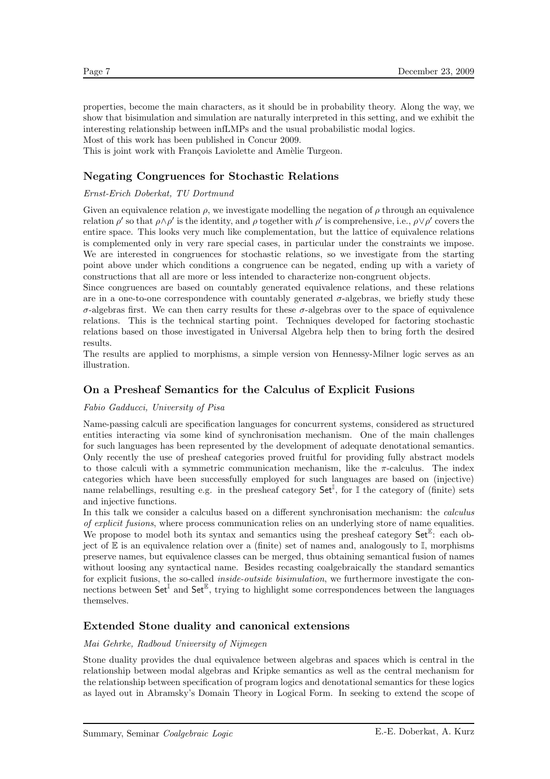properties, become the main characters, as it should be in probability theory. Along the way, we show that bisimulation and simulation are naturally interpreted in this setting, and we exhibit the interesting relationship between infLMPs and the usual probabilistic modal logics. Most of this work has been published in Concur 2009.

This is joint work with François Laviolette and Amèlie Turgeon.

### **Negating Congruences for Stochastic Relations**

#### Ernst-Erich Doberkat, TU Dortmund

Given an equivalence relation  $\rho$ , we investigate modelling the negation of  $\rho$  through an equivalence relation  $\rho'$  so that  $\rho \wedge \rho'$  is the identity, and  $\rho$  together with  $\rho'$  is comprehensive, i.e.,  $\rho \vee \rho'$  covers the entire space. This looks very much like complementation, but the lattice of equivalence relations is complemented only in very rare special cases, in particular under the constraints we impose. We are interested in congruences for stochastic relations, so we investigate from the starting point above under which conditions a congruence can be negated, ending up with a variety of constructions that all are more or less intended to characterize non-congruent objects.

Since congruences are based on countably generated equivalence relations, and these relations are in a one-to-one correspondence with countably generated  $\sigma$ -algebras, we briefly study these σ-algebras first. We can then carry results for these σ-algebras over to the space of equivalence relations. This is the technical starting point. Techniques developed for factoring stochastic relations based on those investigated in Universal Algebra help then to bring forth the desired results.

The results are applied to morphisms, a simple version von Hennessy-Milner logic serves as an illustration.

### **On a Presheaf Semantics for the Calculus of Explicit Fusions**

#### Fabio Gadducci, University of Pisa

Name-passing calculi are specification languages for concurrent systems, considered as structured entities interacting via some kind of synchronisation mechanism. One of the main challenges for such languages has been represented by the development of adequate denotational semantics. Only recently the use of presheaf categories proved fruitful for providing fully abstract models to those calculi with a symmetric communication mechanism, like the  $\pi$ -calculus. The index categories which have been successfully employed for such languages are based on (injective) name relabellings, resulting e.g. in the presheaf category  $\mathsf{Set}^{\mathbb{I}}$ , for  $\mathbb{I}$  the category of (finite) sets and injective functions.

In this talk we consider a calculus based on a different synchronisation mechanism: the calculus of explicit fusions, where process communication relies on an underlying store of name equalities. We propose to model both its syntax and semantics using the presheaf category  $\mathsf{Set}^{\mathbb{E}}$ : each object of  $\mathbb E$  is an equivalence relation over a (finite) set of names and, analogously to  $\mathbb I$ , morphisms preserve names, but equivalence classes can be merged, thus obtaining semantical fusion of names without loosing any syntactical name. Besides recasting coalgebraically the standard semantics for explicit fusions, the so-called *inside-outside bisimulation*, we furthermore investigate the connections between  $\mathsf{Set}^{\mathbb{I}}$  and  $\mathsf{Set}^{\mathbb{E}}$ , trying to highlight some correspondences between the languages themselves.

### **Extended Stone duality and canonical extensions**

#### Mai Gehrke, Radboud University of Nijmegen

Stone duality provides the dual equivalence between algebras and spaces which is central in the relationship between modal algebras and Kripke semantics as well as the central mechanism for the relationship between specification of program logics and denotational semantics for these logics as layed out in Abramsky's Domain Theory in Logical Form. In seeking to extend the scope of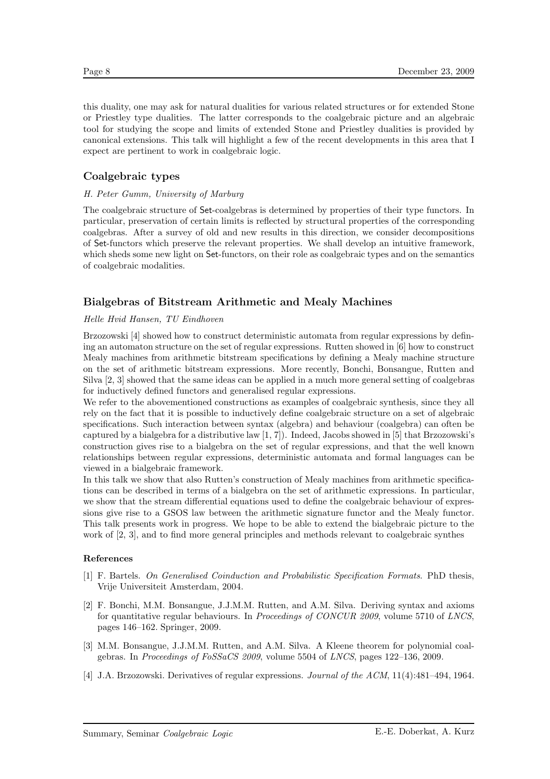this duality, one may ask for natural dualities for various related structures or for extended Stone or Priestley type dualities. The latter corresponds to the coalgebraic picture and an algebraic tool for studying the scope and limits of extended Stone and Priestley dualities is provided by canonical extensions. This talk will highlight a few of the recent developments in this area that I expect are pertinent to work in coalgebraic logic.

### **Coalgebraic types**

#### H. Peter Gumm, University of Marburg

The coalgebraic structure of Set-coalgebras is determined by properties of their type functors. In particular, preservation of certain limits is reflected by structural properties of the corresponding coalgebras. After a survey of old and new results in this direction, we consider decompositions of Set-functors which preserve the relevant properties. We shall develop an intuitive framework, which sheds some new light on Set-functors, on their role as coalgebraic types and on the semantics of coalgebraic modalities.

### **Bialgebras of Bitstream Arithmetic and Mealy Machines**

#### Helle Hvid Hansen, TU Eindhoven

Brzozowski [4] showed how to construct deterministic automata from regular expressions by defining an automaton structure on the set of regular expressions. Rutten showed in [6] how to construct Mealy machines from arithmetic bitstream specifications by defining a Mealy machine structure on the set of arithmetic bitstream expressions. More recently, Bonchi, Bonsangue, Rutten and Silva [2, 3] showed that the same ideas can be applied in a much more general setting of coalgebras for inductively defined functors and generalised regular expressions.

We refer to the abovementioned constructions as examples of coalgebraic synthesis, since they all rely on the fact that it is possible to inductively define coalgebraic structure on a set of algebraic specifications. Such interaction between syntax (algebra) and behaviour (coalgebra) can often be captured by a bialgebra for a distributive law  $[1, 7]$ . Indeed, Jacobs showed in  $[5]$  that Brzozowski's construction gives rise to a bialgebra on the set of regular expressions, and that the well known relationships between regular expressions, deterministic automata and formal languages can be viewed in a bialgebraic framework.

In this talk we show that also Rutten's construction of Mealy machines from arithmetic specifications can be described in terms of a bialgebra on the set of arithmetic expressions. In particular, we show that the stream differential equations used to define the coalgebraic behaviour of expressions give rise to a GSOS law between the arithmetic signature functor and the Mealy functor. This talk presents work in progress. We hope to be able to extend the bialgebraic picture to the work of [2, 3], and to find more general principles and methods relevant to coalgebraic synthes

#### **References**

- [1] F. Bartels. On Generalised Coinduction and Probabilistic Specification Formats. PhD thesis, Vrije Universiteit Amsterdam, 2004.
- [2] F. Bonchi, M.M. Bonsangue, J.J.M.M. Rutten, and A.M. Silva. Deriving syntax and axioms for quantitative regular behaviours. In Proceedings of CONCUR 2009, volume 5710 of LNCS, pages 146–162. Springer, 2009.
- [3] M.M. Bonsangue, J.J.M.M. Rutten, and A.M. Silva. A Kleene theorem for polynomial coalgebras. In Proceedings of FoSSaCS 2009, volume 5504 of LNCS, pages 122–136, 2009.
- [4] J.A. Brzozowski. Derivatives of regular expressions. Journal of the ACM, 11(4):481–494, 1964.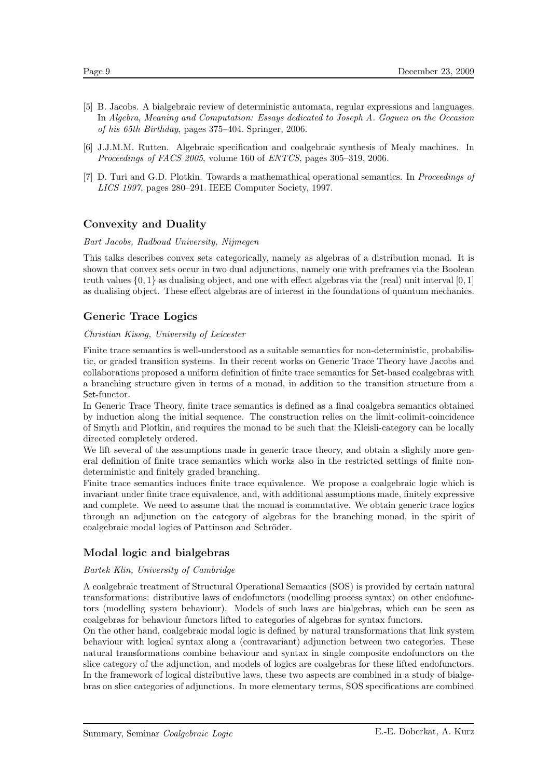- [5] B. Jacobs. A bialgebraic review of deterministic automata, regular expressions and languages. In Algebra, Meaning and Computation: Essays dedicated to Joseph A. Goguen on the Occasion of his 65th Birthday, pages 375–404. Springer, 2006.
- [6] J.J.M.M. Rutten. Algebraic specification and coalgebraic synthesis of Mealy machines. In Proceedings of FACS 2005, volume 160 of ENTCS, pages 305–319, 2006.
- [7] D. Turi and G.D. Plotkin. Towards a mathemathical operational semantics. In Proceedings of LICS 1997, pages 280–291. IEEE Computer Society, 1997.

### **Convexity and Duality**

#### Bart Jacobs, Radboud University, Nijmegen

This talks describes convex sets categorically, namely as algebras of a distribution monad. It is shown that convex sets occur in two dual adjunctions, namely one with preframes via the Boolean truth values {0, <sup>1</sup>} as dualising object, and one with effect algebras via the (real) unit interval [0, 1] as dualising object. These effect algebras are of interest in the foundations of quantum mechanics.

### **Generic Trace Logics**

#### Christian Kissig, University of Leicester

Finite trace semantics is well-understood as a suitable semantics for non-deterministic, probabilistic, or graded transition systems. In their recent works on Generic Trace Theory have Jacobs and collaborations proposed a uniform definition of finite trace semantics for Set-based coalgebras with a branching structure given in terms of a monad, in addition to the transition structure from a Set-functor.

In Generic Trace Theory, finite trace semantics is defined as a final coalgebra semantics obtained by induction along the initial sequence. The construction relies on the limit-colimit-coincidence of Smyth and Plotkin, and requires the monad to be such that the Kleisli-category can be locally directed completely ordered.

We lift several of the assumptions made in generic trace theory, and obtain a slightly more general definition of finite trace semantics which works also in the restricted settings of finite nondeterministic and finitely graded branching.

Finite trace semantics induces finite trace equivalence. We propose a coalgebraic logic which is invariant under finite trace equivalence, and, with additional assumptions made, finitely expressive and complete. We need to assume that the monad is commutative. We obtain generic trace logics through an adjunction on the category of algebras for the branching monad, in the spirit of coalgebraic modal logics of Pattinson and Schröder.

### **Modal logic and bialgebras**

#### Bartek Klin, University of Cambridge

A coalgebraic treatment of Structural Operational Semantics (SOS) is provided by certain natural transformations: distributive laws of endofunctors (modelling process syntax) on other endofunctors (modelling system behaviour). Models of such laws are bialgebras, which can be seen as coalgebras for behaviour functors lifted to categories of algebras for syntax functors.

On the other hand, coalgebraic modal logic is defined by natural transformations that link system behaviour with logical syntax along a (contravariant) adjunction between two categories. These natural transformations combine behaviour and syntax in single composite endofunctors on the slice category of the adjunction, and models of logics are coalgebras for these lifted endofunctors. In the framework of logical distributive laws, these two aspects are combined in a study of bialgebras on slice categories of adjunctions. In more elementary terms, SOS specifications are combined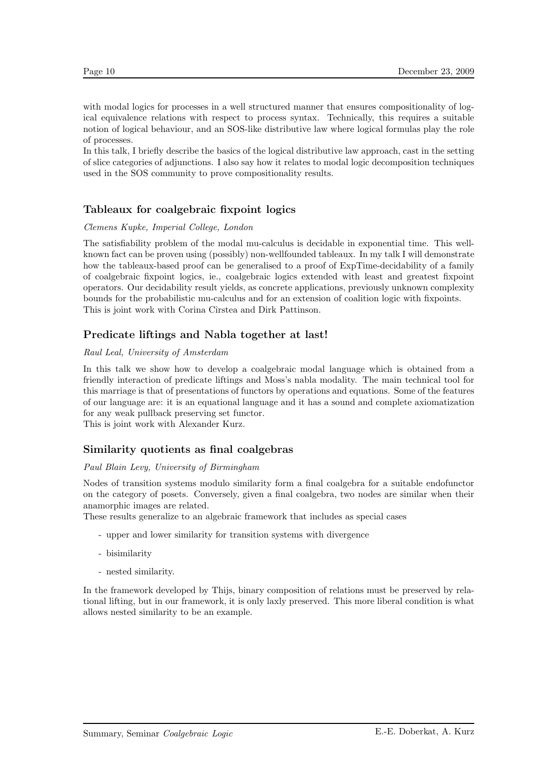with modal logics for processes in a well structured manner that ensures compositionality of logical equivalence relations with respect to process syntax. Technically, this requires a suitable notion of logical behaviour, and an SOS-like distributive law where logical formulas play the role of processes.

In this talk, I briefly describe the basics of the logical distributive law approach, cast in the setting of slice categories of adjunctions. I also say how it relates to modal logic decomposition techniques used in the SOS community to prove compositionality results.

### **Tableaux for coalgebraic fixpoint logics**

#### Clemens Kupke, Imperial College, London

The satisfiability problem of the modal mu-calculus is decidable in exponential time. This wellknown fact can be proven using (possibly) non-wellfounded tableaux. In my talk I will demonstrate how the tableaux-based proof can be generalised to a proof of ExpTime-decidability of a family of coalgebraic fixpoint logics, ie., coalgebraic logics extended with least and greatest fixpoint operators. Our decidability result yields, as concrete applications, previously unknown complexity bounds for the probabilistic mu-calculus and for an extension of coalition logic with fixpoints. This is joint work with Corina Cîrstea and Dirk Pattinson.

### **Predicate liftings and Nabla together at last!**

#### Raul Leal, University of Amsterdam

In this talk we show how to develop a coalgebraic modal language which is obtained from a friendly interaction of predicate liftings and Moss's nabla modality. The main technical tool for this marriage is that of presentations of functors by operations and equations. Some of the features of our language are: it is an equational language and it has a sound and complete axiomatization for any weak pullback preserving set functor.

This is joint work with Alexander Kurz.

### **Similarity quotients as final coalgebras**

#### Paul Blain Levy, University of Birmingham

Nodes of transition systems modulo similarity form a final coalgebra for a suitable endofunctor on the category of posets. Conversely, given a final coalgebra, two nodes are similar when their anamorphic images are related.

These results generalize to an algebraic framework that includes as special cases

- upper and lower similarity for transition systems with divergence
- bisimilarity
- nested similarity.

In the framework developed by Thijs, binary composition of relations must be preserved by relational lifting, but in our framework, it is only laxly preserved. This more liberal condition is what allows nested similarity to be an example.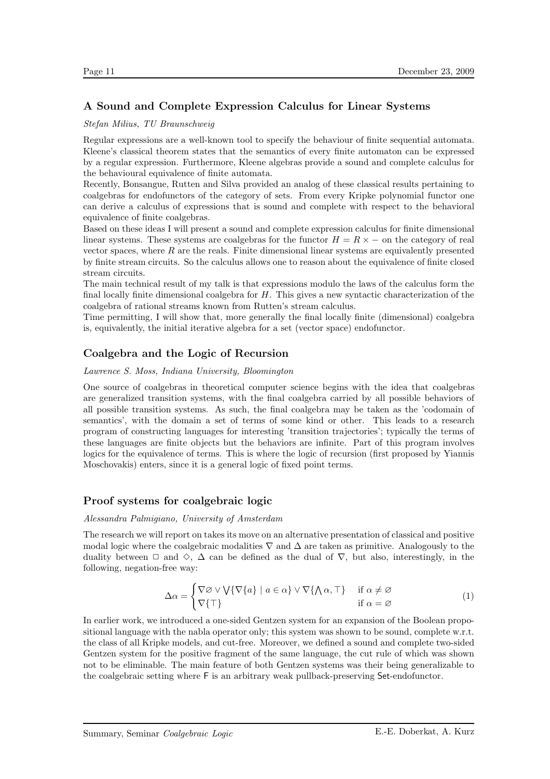## **A Sound and Complete Expression Calculus for Linear Systems**

#### Stefan Milius, TU Braunschweig

Regular expressions are a well-known tool to specify the behaviour of finite sequential automata. Kleene's classical theorem states that the semantics of every finite automaton can be expressed by a regular expression. Furthermore, Kleene algebras provide a sound and complete calculus for the behavioural equivalence of finite automata.

Recently, Bonsangue, Rutten and Silva provided an analog of these classical results pertaining to coalgebras for endofunctors of the category of sets. From every Kripke polynomial functor one can derive a calculus of expressions that is sound and complete with respect to the behavioral equivalence of finite coalgebras.

Based on these ideas I will present a sound and complete expression calculus for finite dimensional linear systems. These systems are coalgebras for the functor  $H = R \times -$  on the category of real vector spaces, where  $R$  are the reals. Finite dimensional linear systems are equivalently presented by finite stream circuits. So the calculus allows one to reason about the equivalence of finite closed stream circuits.

The main technical result of my talk is that expressions modulo the laws of the calculus form the final locally finite dimensional coalgebra for H. This gives a new syntactic characterization of the coalgebra of rational streams known from Rutten's stream calculus.

Time permitting, I will show that, more generally the final locally finite (dimensional) coalgebra is, equivalently, the initial iterative algebra for a set (vector space) endofunctor.

### **Coalgebra and the Logic of Recursion**

#### Lawrence S. Moss, Indiana University, Bloomington

One source of coalgebras in theoretical computer science begins with the idea that coalgebras are generalized transition systems, with the final coalgebra carried by all possible behaviors of all possible transition systems. As such, the final coalgebra may be taken as the 'codomain of semantics', with the domain a set of terms of some kind or other. This leads to a research program of constructing languages for interesting 'transition trajectories'; typically the terms of these languages are finite objects but the behaviors are infinite. Part of this program involves logics for the equivalence of terms. This is where the logic of recursion (first proposed by Yiannis Moschovakis) enters, since it is a general logic of fixed point terms.

### **Proof systems for coalgebraic logic**

#### Alessandra Palmigiano, University of Amsterdam

The research we will report on takes its move on an alternative presentation of classical and positive modal logic where the coalgebraic modalities  $\nabla$  and  $\Delta$  are taken as primitive. Analogously to the duality between  $\Box$  and  $\diamond$ ,  $\Delta$  can be defined as the dual of  $\nabla$ , but also, interestingly, in the following, negation-free way:

$$
\Delta \alpha = \begin{cases} \nabla \varnothing \vee \bigvee \{ \nabla \{a\} \mid a \in \alpha \} \vee \nabla \{ \bigwedge \alpha, \top \} & \text{if } \alpha \neq \varnothing \\ \nabla \{ \top \} & \text{if } \alpha = \varnothing \end{cases} \tag{1}
$$

In earlier work, we introduced a one-sided Gentzen system for an expansion of the Boolean propositional language with the nabla operator only; this system was shown to be sound, complete w.r.t. the class of all Kripke models, and cut-free. Moreover, we defined a sound and complete two-sided Gentzen system for the positive fragment of the same language, the cut rule of which was shown not to be eliminable. The main feature of both Gentzen systems was their being generalizable to the coalgebraic setting where F is an arbitrary weak pullback-preserving Set-endofunctor.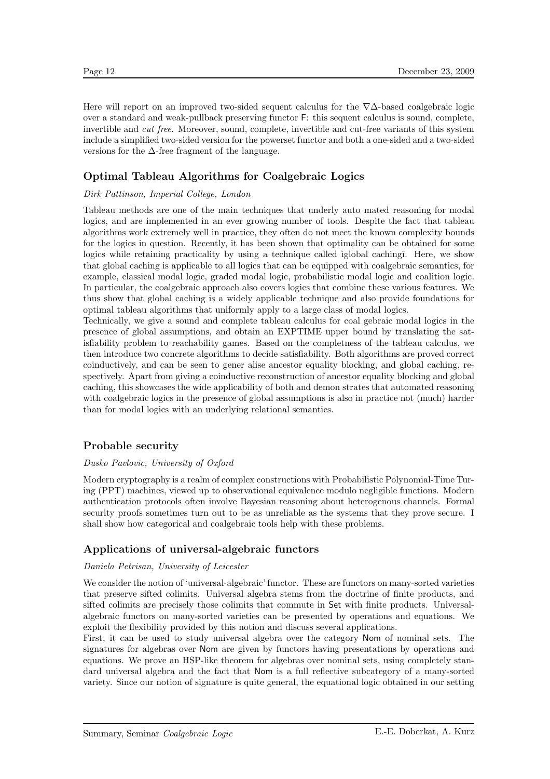Here will report on an improved two-sided sequent calculus for the  $\nabla\Delta$ -based coalgebraic logic over a standard and weak-pullback preserving functor F: this sequent calculus is sound, complete, invertible and cut free. Moreover, sound, complete, invertible and cut-free variants of this system include a simplified two-sided version for the powerset functor and both a one-sided and a two-sided versions for the ∆-free fragment of the language.

### **Optimal Tableau Algorithms for Coalgebraic Logics**

#### Dirk Pattinson, Imperial College, London

Tableau methods are one of the main techniques that underly auto mated reasoning for modal logics, and are implemented in an ever growing number of tools. Despite the fact that tableau algorithms work extremely well in practice, they often do not meet the known complexity bounds for the logics in question. Recently, it has been shown that optimality can be obtained for some logics while retaining practicality by using a technique called  $\ell$ global caching $\ell$ . Here, we show that global caching is applicable to all logics that can be equipped with coalgebraic semantics, for example, classical modal logic, graded modal logic, probabilistic modal logic and coalition logic. In particular, the coalgebraic approach also covers logics that combine these various features. We thus show that global caching is a widely applicable technique and also provide foundations for optimal tableau algorithms that uniformly apply to a large class of modal logics.

Technically, we give a sound and complete tableau calculus for coal gebraic modal logics in the presence of global assumptions, and obtain an EXPTIME upper bound by translating the satisfiability problem to reachability games. Based on the completness of the tableau calculus, we then introduce two concrete algorithms to decide satisfiability. Both algorithms are proved correct coinductively, and can be seen to gener alise ancestor equality blocking, and global caching, respectively. Apart from giving a coinductive reconstruction of ancestor equality blocking and global caching, this showcases the wide applicability of both and demon strates that automated reasoning with coalgebraic logics in the presence of global assumptions is also in practice not (much) harder than for modal logics with an underlying relational semantics.

### **Probable security**

#### Dusko Pavlovic, University of Oxford

Modern cryptography is a realm of complex constructions with Probabilistic Polynomial-Time Turing (PPT) machines, viewed up to observational equivalence modulo negligible functions. Modern authentication protocols often involve Bayesian reasoning about heterogenous channels. Formal security proofs sometimes turn out to be as unreliable as the systems that they prove secure. I shall show how categorical and coalgebraic tools help with these problems.

### **Applications of universal-algebraic functors**

#### Daniela Petrisan, University of Leicester

We consider the notion of 'universal-algebraic' functor. These are functors on many-sorted varieties that preserve sifted colimits. Universal algebra stems from the doctrine of finite products, and sifted colimits are precisely those colimits that commute in Set with finite products. Universalalgebraic functors on many-sorted varieties can be presented by operations and equations. We exploit the flexibility provided by this notion and discuss several applications.

First, it can be used to study universal algebra over the category Nom of nominal sets. The signatures for algebras over Nom are given by functors having presentations by operations and equations. We prove an HSP-like theorem for algebras over nominal sets, using completely standard universal algebra and the fact that Nom is a full reflective subcategory of a many-sorted variety. Since our notion of signature is quite general, the equational logic obtained in our setting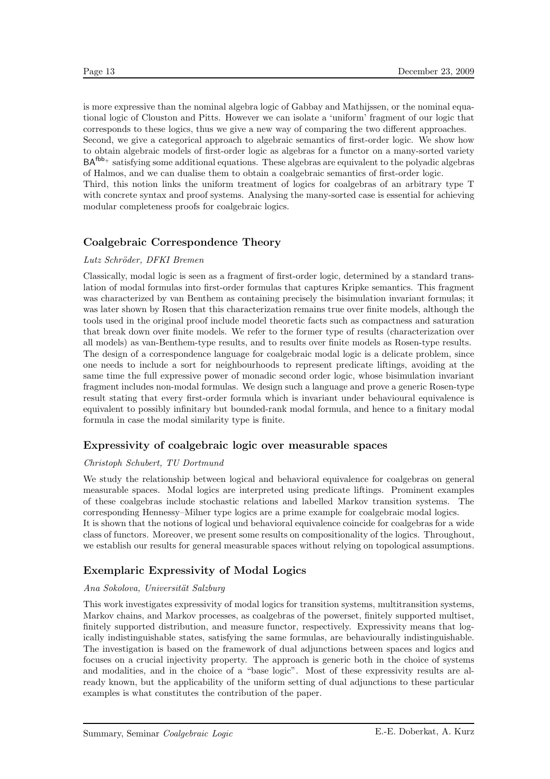is more expressive than the nominal algebra logic of Gabbay and Mathijssen, or the nominal equational logic of Clouston and Pitts. However we can isolate a 'uniform' fragment of our logic that corresponds to these logics, thus we give a new way of comparing the two different approaches.

Second, we give a categorical approach to algebraic semantics of first-order logic. We show how to obtain algebraic models of first-order logic as algebras for a functor on a many-sorted variety BAfbb<sup>+</sup> satisfying some additional equations. These algebras are equivalent to the polyadic algebras of Halmos, and we can dualise them to obtain a coalgebraic semantics of first-order logic.

Third, this notion links the uniform treatment of logics for coalgebras of an arbitrary type T with concrete syntax and proof systems. Analysing the many-sorted case is essential for achieving modular completeness proofs for coalgebraic logics.

### **Coalgebraic Correspondence Theory**

#### Lutz Schröder, DFKI Bremen

Classically, modal logic is seen as a fragment of first-order logic, determined by a standard translation of modal formulas into first-order formulas that captures Kripke semantics. This fragment was characterized by van Benthem as containing precisely the bisimulation invariant formulas; it was later shown by Rosen that this characterization remains true over finite models, although the tools used in the original proof include model theoretic facts such as compactness and saturation that break down over finite models. We refer to the former type of results (characterization over all models) as van-Benthem-type results, and to results over finite models as Rosen-type results. The design of a correspondence language for coalgebraic modal logic is a delicate problem, since one needs to include a sort for neighbourhoods to represent predicate liftings, avoiding at the same time the full expressive power of monadic second order logic, whose bisimulation invariant fragment includes non-modal formulas. We design such a language and prove a generic Rosen-type result stating that every first-order formula which is invariant under behavioural equivalence is equivalent to possibly infinitary but bounded-rank modal formula, and hence to a finitary modal formula in case the modal similarity type is finite.

### **Expressivity of coalgebraic logic over measurable spaces**

#### Christoph Schubert, TU Dortmund

We study the relationship between logical and behavioral equivalence for coalgebras on general measurable spaces. Modal logics are interpreted using predicate liftings. Prominent examples of these coalgebras include stochastic relations and labelled Markov transition systems. The corresponding Hennessy–Milner type logics are a prime example for coalgebraic modal logics. It is shown that the notions of logical und behavioral equivalence coincide for coalgebras for a wide class of functors. Moreover, we present some results on compositionality of the logics. Throughout, we establish our results for general measurable spaces without relying on topological assumptions.

### **Exemplaric Expressivity of Modal Logics**

#### Ana Sokolova, Universität Salzburg

This work investigates expressivity of modal logics for transition systems, multitransition systems, Markov chains, and Markov processes, as coalgebras of the powerset, finitely supported multiset, finitely supported distribution, and measure functor, respectively. Expressivity means that logically indistinguishable states, satisfying the same formulas, are behaviourally indistinguishable. The investigation is based on the framework of dual adjunctions between spaces and logics and focuses on a crucial injectivity property. The approach is generic both in the choice of systems and modalities, and in the choice of a "base logic". Most of these expressivity results are already known, but the applicability of the uniform setting of dual adjunctions to these particular examples is what constitutes the contribution of the paper.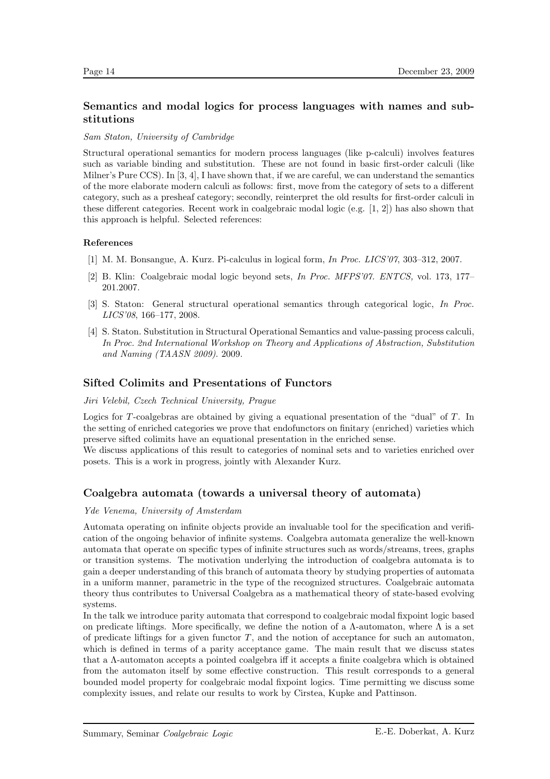## **Semantics and modal logics for process languages with names and substitutions**

#### Sam Staton, University of Cambridge

Structural operational semantics for modern process languages (like p-calculi) involves features such as variable binding and substitution. These are not found in basic first-order calculi (like Milner's Pure CCS). In [3, 4], I have shown that, if we are careful, we can understand the semantics of the more elaborate modern calculi as follows: first, move from the category of sets to a different category, such as a presheaf category; secondly, reinterpret the old results for first-order calculi in these different categories. Recent work in coalgebraic modal logic (e.g. [1, 2]) has also shown that this approach is helpful. Selected references:

#### **References**

- [1] M. M. Bonsangue, A. Kurz. Pi-calculus in logical form, In Proc. LICS'07, 303–312, 2007.
- [2] B. Klin: Coalgebraic modal logic beyond sets, In Proc. MFPS'07. ENTCS, vol. 173, 177– 201.2007.
- [3] S. Staton: General structural operational semantics through categorical logic, In Proc. LICS'08, 166–177, 2008.
- [4] S. Staton. Substitution in Structural Operational Semantics and value-passing process calculi, In Proc. 2nd International Workshop on Theory and Applications of Abstraction, Substitution and Naming (TAASN 2009). 2009.

### **Sifted Colimits and Presentations of Functors**

#### Jiri Velebil, Czech Technical University, Prague

Logics for T-coalgebras are obtained by giving a equational presentation of the "dual" of  $T$ . In the setting of enriched categories we prove that endofunctors on finitary (enriched) varieties which preserve sifted colimits have an equational presentation in the enriched sense.

We discuss applications of this result to categories of nominal sets and to varieties enriched over posets. This is a work in progress, jointly with Alexander Kurz.

### **Coalgebra automata (towards a universal theory of automata)**

#### Yde Venema, University of Amsterdam

Automata operating on infinite objects provide an invaluable tool for the specification and verification of the ongoing behavior of infinite systems. Coalgebra automata generalize the well-known automata that operate on specific types of infinite structures such as words/streams, trees, graphs or transition systems. The motivation underlying the introduction of coalgebra automata is to gain a deeper understanding of this branch of automata theory by studying properties of automata in a uniform manner, parametric in the type of the recognized structures. Coalgebraic automata theory thus contributes to Universal Coalgebra as a mathematical theory of state-based evolving systems.

In the talk we introduce parity automata that correspond to coalgebraic modal fixpoint logic based on predicate liftings. More specifically, we define the notion of a  $\Lambda$ -automaton, where  $\Lambda$  is a set of predicate liftings for a given functor  $T$ , and the notion of acceptance for such an automaton, which is defined in terms of a parity acceptance game. The main result that we discuss states that a Λ-automaton accepts a pointed coalgebra iff it accepts a finite coalgebra which is obtained from the automaton itself by some effective construction. This result corresponds to a general bounded model property for coalgebraic modal fixpoint logics. Time permitting we discuss some complexity issues, and relate our results to work by Cirstea, Kupke and Pattinson.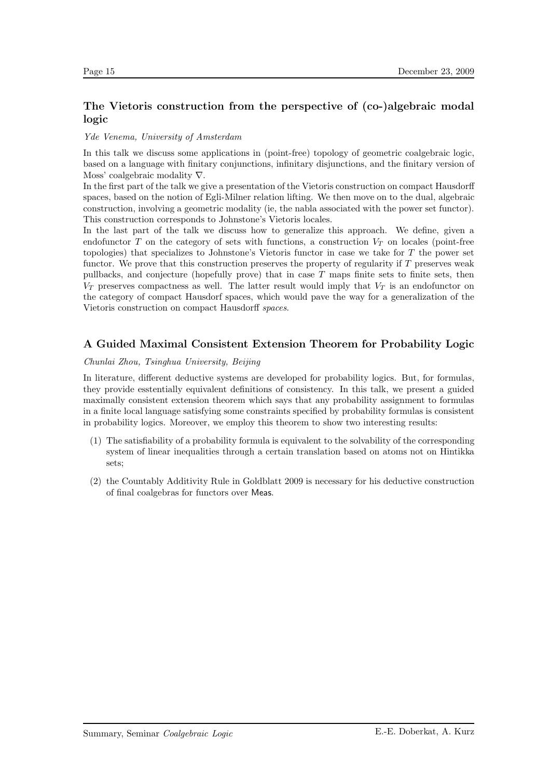# **The Vietoris construction from the perspective of (co-)algebraic modal logic**

#### Yde Venema, University of Amsterdam

In this talk we discuss some applications in (point-free) topology of geometric coalgebraic logic, based on a language with finitary conjunctions, infinitary disjunctions, and the finitary version of Moss' coalgebraic modality ∇.

In the first part of the talk we give a presentation of the Vietoris construction on compact Hausdorff spaces, based on the notion of Egli-Milner relation lifting. We then move on to the dual, algebraic construction, involving a geometric modality (ie, the nabla associated with the power set functor). This construction corresponds to Johnstone's Vietoris locales.

In the last part of the talk we discuss how to generalize this approach. We define, given a endofunctor T on the category of sets with functions, a construction  $V_T$  on locales (point-free topologies) that specializes to Johnstone's Vietoris functor in case we take for T the power set functor. We prove that this construction preserves the property of regularity if  $T$  preserves weak pullbacks, and conjecture (hopefully prove) that in case  $T$  maps finite sets to finite sets, then  $V_T$  preserves compactness as well. The latter result would imply that  $V_T$  is an endofunctor on the category of compact Hausdorf spaces, which would pave the way for a generalization of the Vietoris construction on compact Hausdorff spaces.

### **A Guided Maximal Consistent Extension Theorem for Probability Logic**

#### Chunlai Zhou, Tsinghua University, Beijing

In literature, different deductive systems are developed for probability logics. But, for formulas, they provide esstentially equivalent definitions of consistency. In this talk, we present a guided maximally consistent extension theorem which says that any probability assignment to formulas in a finite local language satisfying some constraints specified by probability formulas is consistent in probability logics. Moreover, we employ this theorem to show two interesting results:

- (1) The satisfiability of a probability formula is equivalent to the solvability of the corresponding system of linear inequalities through a certain translation based on atoms not on Hintikka sets;
- (2) the Countably Additivity Rule in Goldblatt 2009 is necessary for his deductive construction of final coalgebras for functors over Meas.